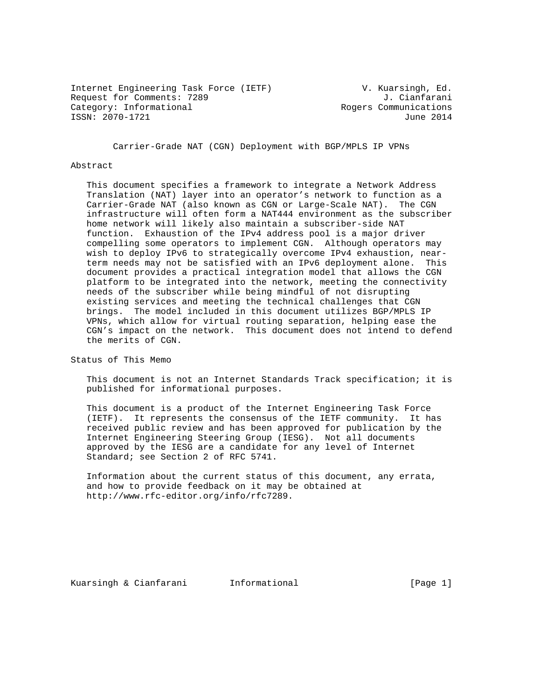Internet Engineering Task Force (IETF) V. Kuarsingh, Ed. Request for Comments: 7289 J. Cianfarani Category: Informational and Rogers Communications ISSN: 2070-1721 June 2014

Carrier-Grade NAT (CGN) Deployment with BGP/MPLS IP VPNs

#### Abstract

 This document specifies a framework to integrate a Network Address Translation (NAT) layer into an operator's network to function as a Carrier-Grade NAT (also known as CGN or Large-Scale NAT). The CGN infrastructure will often form a NAT444 environment as the subscriber home network will likely also maintain a subscriber-side NAT function. Exhaustion of the IPv4 address pool is a major driver compelling some operators to implement CGN. Although operators may wish to deploy IPv6 to strategically overcome IPv4 exhaustion, near term needs may not be satisfied with an IPv6 deployment alone. This document provides a practical integration model that allows the CGN platform to be integrated into the network, meeting the connectivity needs of the subscriber while being mindful of not disrupting existing services and meeting the technical challenges that CGN brings. The model included in this document utilizes BGP/MPLS IP VPNs, which allow for virtual routing separation, helping ease the CGN's impact on the network. This document does not intend to defend the merits of CGN.

Status of This Memo

 This document is not an Internet Standards Track specification; it is published for informational purposes.

 This document is a product of the Internet Engineering Task Force (IETF). It represents the consensus of the IETF community. It has received public review and has been approved for publication by the Internet Engineering Steering Group (IESG). Not all documents approved by the IESG are a candidate for any level of Internet Standard; see Section 2 of RFC 5741.

 Information about the current status of this document, any errata, and how to provide feedback on it may be obtained at http://www.rfc-editor.org/info/rfc7289.

Kuarsingh & Cianfarani Informational (Page 1)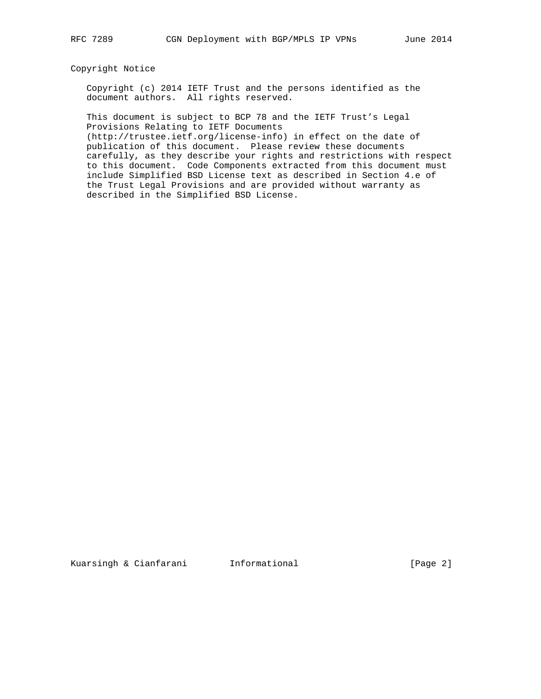# Copyright Notice

 Copyright (c) 2014 IETF Trust and the persons identified as the document authors. All rights reserved.

 This document is subject to BCP 78 and the IETF Trust's Legal Provisions Relating to IETF Documents

 (http://trustee.ietf.org/license-info) in effect on the date of publication of this document. Please review these documents carefully, as they describe your rights and restrictions with respect to this document. Code Components extracted from this document must include Simplified BSD License text as described in Section 4.e of the Trust Legal Provisions and are provided without warranty as described in the Simplified BSD License.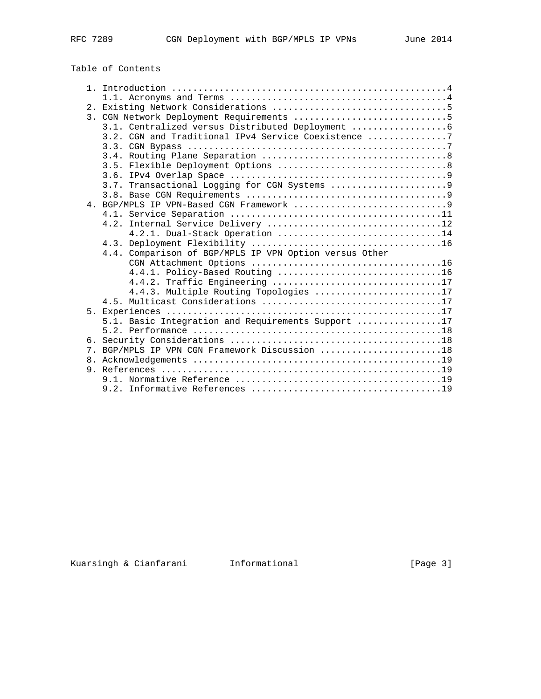# Table of Contents

|    | 3.1. Centralized versus Distributed Deployment         |  |
|----|--------------------------------------------------------|--|
|    | 3.2. CGN and Traditional IPv4 Service Coexistence 7    |  |
|    |                                                        |  |
|    |                                                        |  |
|    |                                                        |  |
|    |                                                        |  |
|    |                                                        |  |
|    |                                                        |  |
|    |                                                        |  |
|    |                                                        |  |
|    |                                                        |  |
|    | 4.2.1. Dual-Stack Operation 14                         |  |
|    |                                                        |  |
|    | 4.4. Comparison of BGP/MPLS IP VPN Option versus Other |  |
|    |                                                        |  |
|    |                                                        |  |
|    | 4.4.2. Traffic Engineering 17                          |  |
|    | 4.4.3. Multiple Routing Topologies 17                  |  |
|    |                                                        |  |
|    |                                                        |  |
|    | 5.1. Basic Integration and Requirements Support 17     |  |
|    |                                                        |  |
|    | 7. BGP/MPLS IP VPN CGN Framework Discussion 18         |  |
| 8. |                                                        |  |
|    |                                                        |  |
|    |                                                        |  |
|    |                                                        |  |
|    |                                                        |  |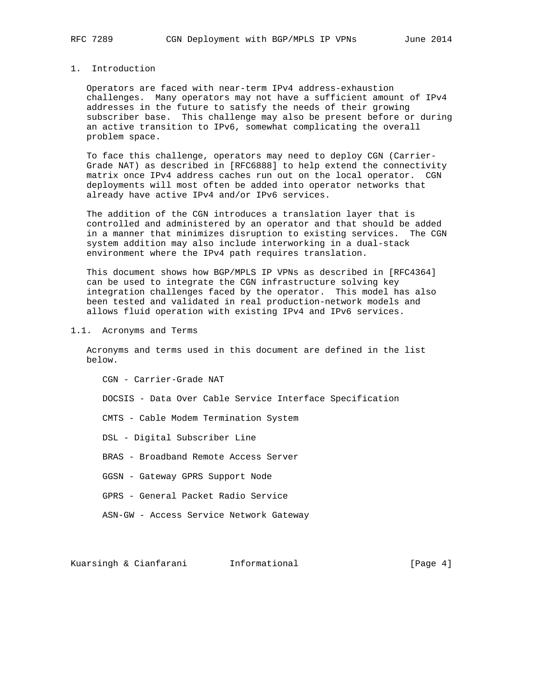# 1. Introduction

 Operators are faced with near-term IPv4 address-exhaustion challenges. Many operators may not have a sufficient amount of IPv4 addresses in the future to satisfy the needs of their growing subscriber base. This challenge may also be present before or during an active transition to IPv6, somewhat complicating the overall problem space.

 To face this challenge, operators may need to deploy CGN (Carrier- Grade NAT) as described in [RFC6888] to help extend the connectivity matrix once IPv4 address caches run out on the local operator. CGN deployments will most often be added into operator networks that already have active IPv4 and/or IPv6 services.

 The addition of the CGN introduces a translation layer that is controlled and administered by an operator and that should be added in a manner that minimizes disruption to existing services. The CGN system addition may also include interworking in a dual-stack environment where the IPv4 path requires translation.

 This document shows how BGP/MPLS IP VPNs as described in [RFC4364] can be used to integrate the CGN infrastructure solving key integration challenges faced by the operator. This model has also been tested and validated in real production-network models and allows fluid operation with existing IPv4 and IPv6 services.

#### 1.1. Acronyms and Terms

 Acronyms and terms used in this document are defined in the list below.

 CGN - Carrier-Grade NAT DOCSIS - Data Over Cable Service Interface Specification CMTS - Cable Modem Termination System DSL - Digital Subscriber Line

BRAS - Broadband Remote Access Server

GGSN - Gateway GPRS Support Node

- GPRS General Packet Radio Service
- ASN-GW Access Service Network Gateway

Kuarsingh & Cianfarani Informational [Page 4]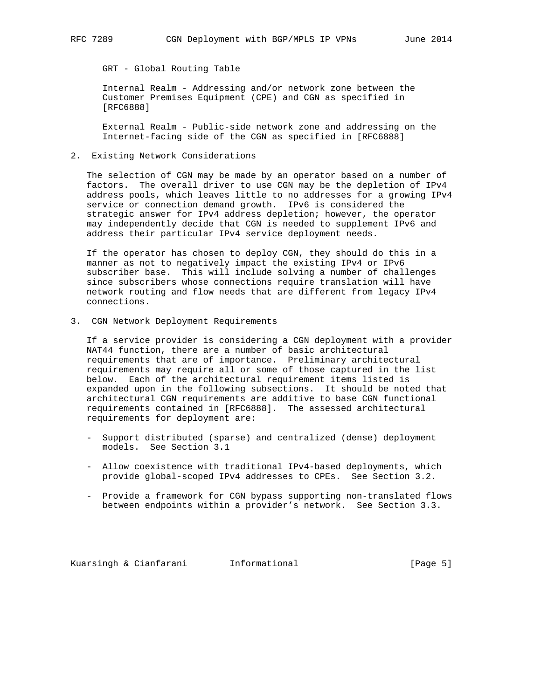GRT - Global Routing Table

 Internal Realm - Addressing and/or network zone between the Customer Premises Equipment (CPE) and CGN as specified in [RFC6888]

 External Realm - Public-side network zone and addressing on the Internet-facing side of the CGN as specified in [RFC6888]

2. Existing Network Considerations

 The selection of CGN may be made by an operator based on a number of factors. The overall driver to use CGN may be the depletion of IPv4 address pools, which leaves little to no addresses for a growing IPv4 service or connection demand growth. IPv6 is considered the strategic answer for IPv4 address depletion; however, the operator may independently decide that CGN is needed to supplement IPv6 and address their particular IPv4 service deployment needs.

 If the operator has chosen to deploy CGN, they should do this in a manner as not to negatively impact the existing IPv4 or IPv6 subscriber base. This will include solving a number of challenges since subscribers whose connections require translation will have network routing and flow needs that are different from legacy IPv4 connections.

3. CGN Network Deployment Requirements

 If a service provider is considering a CGN deployment with a provider NAT44 function, there are a number of basic architectural requirements that are of importance. Preliminary architectural requirements may require all or some of those captured in the list below. Each of the architectural requirement items listed is expanded upon in the following subsections. It should be noted that architectural CGN requirements are additive to base CGN functional requirements contained in [RFC6888]. The assessed architectural requirements for deployment are:

- Support distributed (sparse) and centralized (dense) deployment models. See Section 3.1
- Allow coexistence with traditional IPv4-based deployments, which provide global-scoped IPv4 addresses to CPEs. See Section 3.2.
- Provide a framework for CGN bypass supporting non-translated flows between endpoints within a provider's network. See Section 3.3.

Kuarsingh & Cianfarani Informational [Page 5]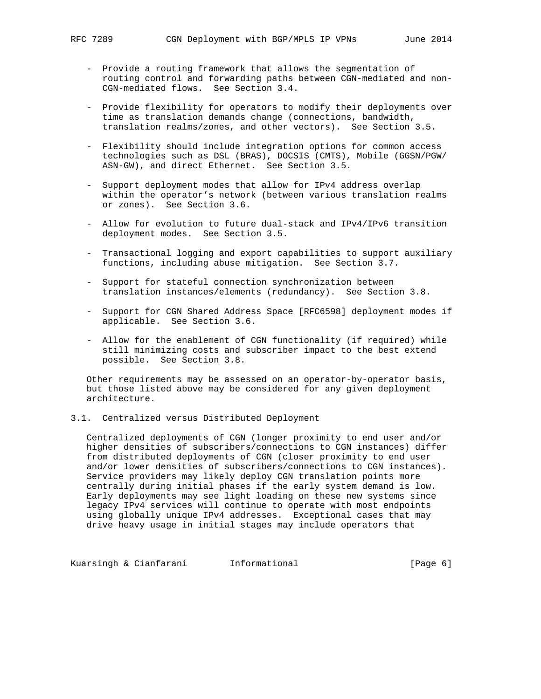- Provide a routing framework that allows the segmentation of routing control and forwarding paths between CGN-mediated and non- CGN-mediated flows. See Section 3.4.
- Provide flexibility for operators to modify their deployments over time as translation demands change (connections, bandwidth, translation realms/zones, and other vectors). See Section 3.5.
- Flexibility should include integration options for common access technologies such as DSL (BRAS), DOCSIS (CMTS), Mobile (GGSN/PGW/ ASN-GW), and direct Ethernet. See Section 3.5.
- Support deployment modes that allow for IPv4 address overlap within the operator's network (between various translation realms or zones). See Section 3.6.
- Allow for evolution to future dual-stack and IPv4/IPv6 transition deployment modes. See Section 3.5.
- Transactional logging and export capabilities to support auxiliary functions, including abuse mitigation. See Section 3.7.
- Support for stateful connection synchronization between translation instances/elements (redundancy). See Section 3.8.
- Support for CGN Shared Address Space [RFC6598] deployment modes if applicable. See Section 3.6.
- Allow for the enablement of CGN functionality (if required) while still minimizing costs and subscriber impact to the best extend possible. See Section 3.8.

 Other requirements may be assessed on an operator-by-operator basis, but those listed above may be considered for any given deployment architecture.

#### 3.1. Centralized versus Distributed Deployment

 Centralized deployments of CGN (longer proximity to end user and/or higher densities of subscribers/connections to CGN instances) differ from distributed deployments of CGN (closer proximity to end user and/or lower densities of subscribers/connections to CGN instances). Service providers may likely deploy CGN translation points more centrally during initial phases if the early system demand is low. Early deployments may see light loading on these new systems since legacy IPv4 services will continue to operate with most endpoints using globally unique IPv4 addresses. Exceptional cases that may drive heavy usage in initial stages may include operators that

Kuarsingh & Cianfarani Informational (Page 6)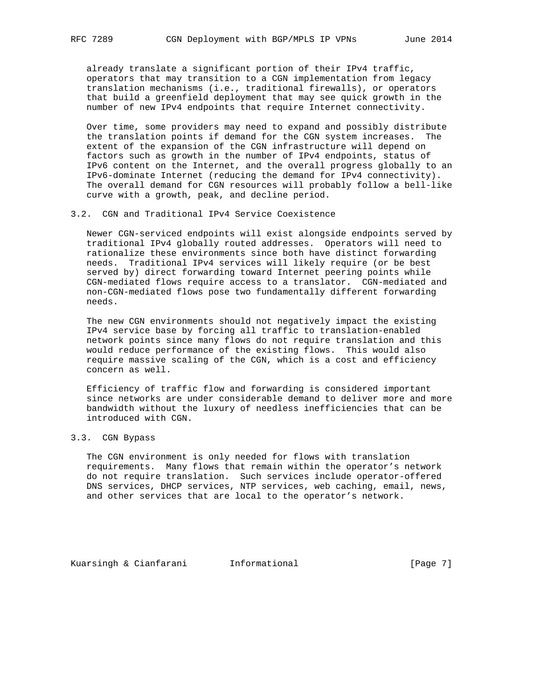already translate a significant portion of their IPv4 traffic, operators that may transition to a CGN implementation from legacy translation mechanisms (i.e., traditional firewalls), or operators that build a greenfield deployment that may see quick growth in the number of new IPv4 endpoints that require Internet connectivity.

 Over time, some providers may need to expand and possibly distribute the translation points if demand for the CGN system increases. The extent of the expansion of the CGN infrastructure will depend on factors such as growth in the number of IPv4 endpoints, status of IPv6 content on the Internet, and the overall progress globally to an IPv6-dominate Internet (reducing the demand for IPv4 connectivity). The overall demand for CGN resources will probably follow a bell-like curve with a growth, peak, and decline period.

#### 3.2. CGN and Traditional IPv4 Service Coexistence

 Newer CGN-serviced endpoints will exist alongside endpoints served by traditional IPv4 globally routed addresses. Operators will need to rationalize these environments since both have distinct forwarding needs. Traditional IPv4 services will likely require (or be best served by) direct forwarding toward Internet peering points while CGN-mediated flows require access to a translator. CGN-mediated and non-CGN-mediated flows pose two fundamentally different forwarding needs.

 The new CGN environments should not negatively impact the existing IPv4 service base by forcing all traffic to translation-enabled network points since many flows do not require translation and this would reduce performance of the existing flows. This would also require massive scaling of the CGN, which is a cost and efficiency concern as well.

 Efficiency of traffic flow and forwarding is considered important since networks are under considerable demand to deliver more and more bandwidth without the luxury of needless inefficiencies that can be introduced with CGN.

# 3.3. CGN Bypass

 The CGN environment is only needed for flows with translation requirements. Many flows that remain within the operator's network do not require translation. Such services include operator-offered DNS services, DHCP services, NTP services, web caching, email, news, and other services that are local to the operator's network.

Kuarsingh & Cianfarani Informational [Page 7]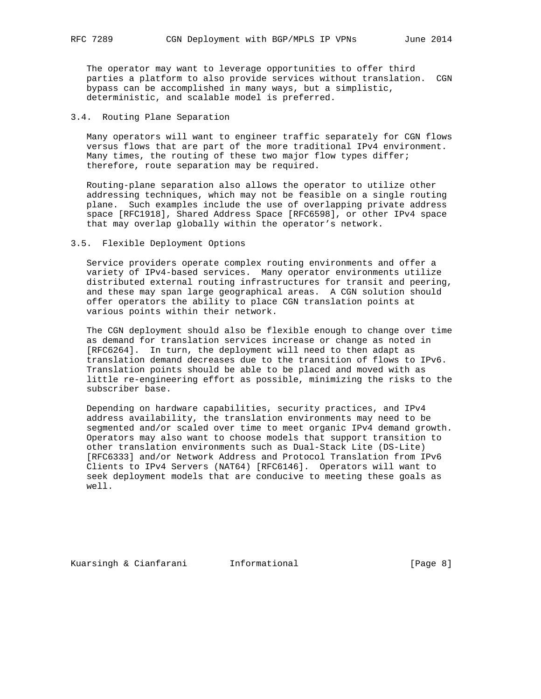The operator may want to leverage opportunities to offer third parties a platform to also provide services without translation. CGN bypass can be accomplished in many ways, but a simplistic, deterministic, and scalable model is preferred.

### 3.4. Routing Plane Separation

 Many operators will want to engineer traffic separately for CGN flows versus flows that are part of the more traditional IPv4 environment. Many times, the routing of these two major flow types differ; therefore, route separation may be required.

 Routing-plane separation also allows the operator to utilize other addressing techniques, which may not be feasible on a single routing plane. Such examples include the use of overlapping private address space [RFC1918], Shared Address Space [RFC6598], or other IPv4 space that may overlap globally within the operator's network.

## 3.5. Flexible Deployment Options

 Service providers operate complex routing environments and offer a variety of IPv4-based services. Many operator environments utilize distributed external routing infrastructures for transit and peering, and these may span large geographical areas. A CGN solution should offer operators the ability to place CGN translation points at various points within their network.

 The CGN deployment should also be flexible enough to change over time as demand for translation services increase or change as noted in [RFC6264]. In turn, the deployment will need to then adapt as translation demand decreases due to the transition of flows to IPv6. Translation points should be able to be placed and moved with as little re-engineering effort as possible, minimizing the risks to the subscriber base.

 Depending on hardware capabilities, security practices, and IPv4 address availability, the translation environments may need to be segmented and/or scaled over time to meet organic IPv4 demand growth. Operators may also want to choose models that support transition to other translation environments such as Dual-Stack Lite (DS-Lite) [RFC6333] and/or Network Address and Protocol Translation from IPv6 Clients to IPv4 Servers (NAT64) [RFC6146]. Operators will want to seek deployment models that are conducive to meeting these goals as well.

Kuarsingh & Cianfarani Informational 1999 (Page 8)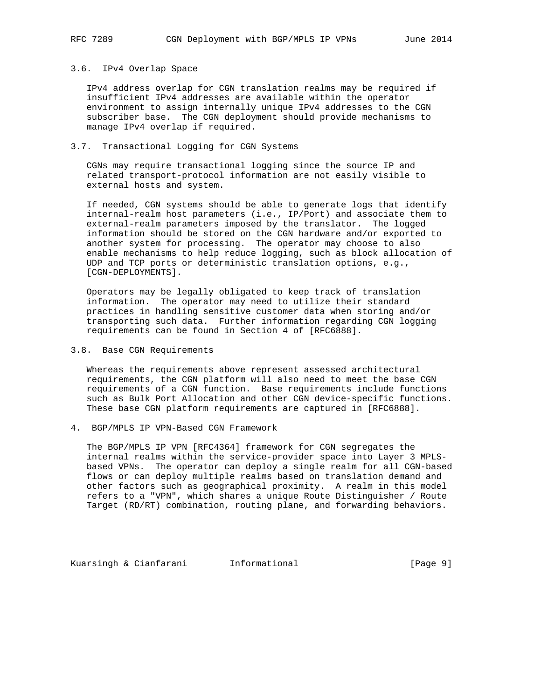#### 3.6. IPv4 Overlap Space

 IPv4 address overlap for CGN translation realms may be required if insufficient IPv4 addresses are available within the operator environment to assign internally unique IPv4 addresses to the CGN subscriber base. The CGN deployment should provide mechanisms to manage IPv4 overlap if required.

# 3.7. Transactional Logging for CGN Systems

 CGNs may require transactional logging since the source IP and related transport-protocol information are not easily visible to external hosts and system.

 If needed, CGN systems should be able to generate logs that identify internal-realm host parameters (i.e., IP/Port) and associate them to external-realm parameters imposed by the translator. The logged information should be stored on the CGN hardware and/or exported to another system for processing. The operator may choose to also enable mechanisms to help reduce logging, such as block allocation of UDP and TCP ports or deterministic translation options, e.g., [CGN-DEPLOYMENTS].

 Operators may be legally obligated to keep track of translation information. The operator may need to utilize their standard practices in handling sensitive customer data when storing and/or transporting such data. Further information regarding CGN logging requirements can be found in Section 4 of [RFC6888].

#### 3.8. Base CGN Requirements

 Whereas the requirements above represent assessed architectural requirements, the CGN platform will also need to meet the base CGN requirements of a CGN function. Base requirements include functions such as Bulk Port Allocation and other CGN device-specific functions. These base CGN platform requirements are captured in [RFC6888].

4. BGP/MPLS IP VPN-Based CGN Framework

 The BGP/MPLS IP VPN [RFC4364] framework for CGN segregates the internal realms within the service-provider space into Layer 3 MPLS based VPNs. The operator can deploy a single realm for all CGN-based flows or can deploy multiple realms based on translation demand and other factors such as geographical proximity. A realm in this model refers to a "VPN", which shares a unique Route Distinguisher / Route Target (RD/RT) combination, routing plane, and forwarding behaviors.

Kuarsingh & Cianfarani Informational (Page 9)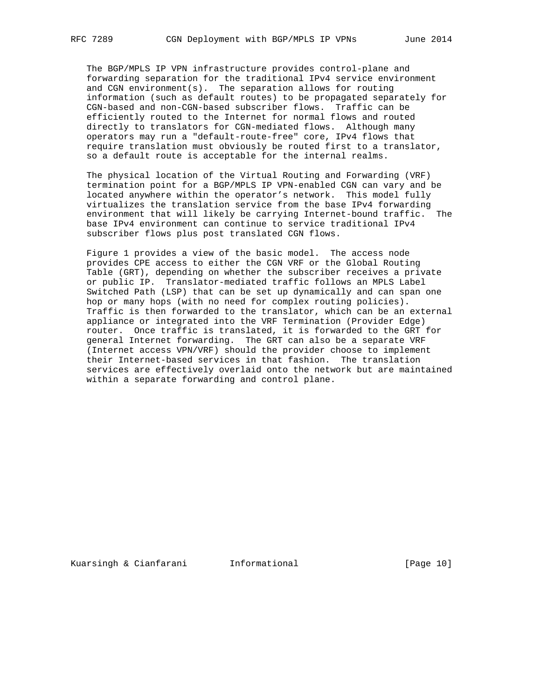The BGP/MPLS IP VPN infrastructure provides control-plane and forwarding separation for the traditional IPv4 service environment and CGN environment(s). The separation allows for routing information (such as default routes) to be propagated separately for CGN-based and non-CGN-based subscriber flows. Traffic can be efficiently routed to the Internet for normal flows and routed directly to translators for CGN-mediated flows. Although many operators may run a "default-route-free" core, IPv4 flows that require translation must obviously be routed first to a translator, so a default route is acceptable for the internal realms.

 The physical location of the Virtual Routing and Forwarding (VRF) termination point for a BGP/MPLS IP VPN-enabled CGN can vary and be located anywhere within the operator's network. This model fully virtualizes the translation service from the base IPv4 forwarding environment that will likely be carrying Internet-bound traffic. The base IPv4 environment can continue to service traditional IPv4 subscriber flows plus post translated CGN flows.

 Figure 1 provides a view of the basic model. The access node provides CPE access to either the CGN VRF or the Global Routing Table (GRT), depending on whether the subscriber receives a private or public IP. Translator-mediated traffic follows an MPLS Label Switched Path (LSP) that can be set up dynamically and can span one hop or many hops (with no need for complex routing policies). Traffic is then forwarded to the translator, which can be an external appliance or integrated into the VRF Termination (Provider Edge) router. Once traffic is translated, it is forwarded to the GRT for general Internet forwarding. The GRT can also be a separate VRF (Internet access VPN/VRF) should the provider choose to implement their Internet-based services in that fashion. The translation services are effectively overlaid onto the network but are maintained within a separate forwarding and control plane.

Kuarsingh & Cianfarani Informational [Page 10]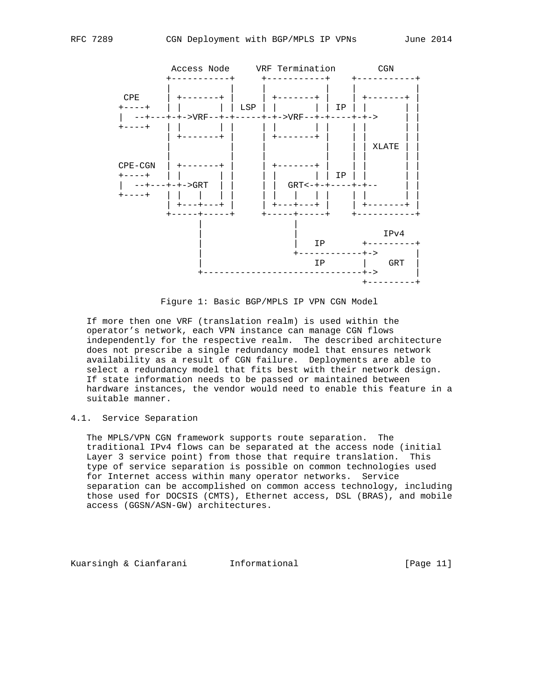

Figure 1: Basic BGP/MPLS IP VPN CGN Model

 If more then one VRF (translation realm) is used within the operator's network, each VPN instance can manage CGN flows independently for the respective realm. The described architecture does not prescribe a single redundancy model that ensures network availability as a result of CGN failure. Deployments are able to select a redundancy model that fits best with their network design. If state information needs to be passed or maintained between hardware instances, the vendor would need to enable this feature in a suitable manner.

# 4.1. Service Separation

 The MPLS/VPN CGN framework supports route separation. The traditional IPv4 flows can be separated at the access node (initial Layer 3 service point) from those that require translation. This type of service separation is possible on common technologies used for Internet access within many operator networks. Service separation can be accomplished on common access technology, including those used for DOCSIS (CMTS), Ethernet access, DSL (BRAS), and mobile access (GGSN/ASN-GW) architectures.

Kuarsingh & Cianfarani Informational [Page 11]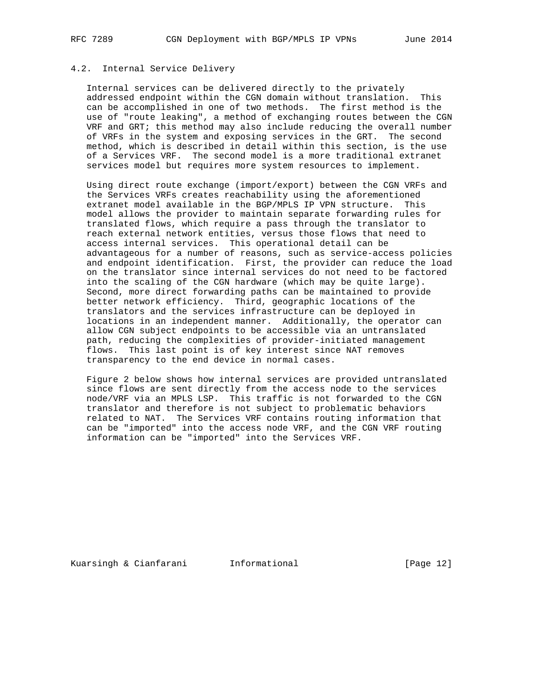# 4.2. Internal Service Delivery

 Internal services can be delivered directly to the privately addressed endpoint within the CGN domain without translation. This can be accomplished in one of two methods. The first method is the use of "route leaking", a method of exchanging routes between the CGN VRF and GRT; this method may also include reducing the overall number of VRFs in the system and exposing services in the GRT. The second method, which is described in detail within this section, is the use of a Services VRF. The second model is a more traditional extranet services model but requires more system resources to implement.

 Using direct route exchange (import/export) between the CGN VRFs and the Services VRFs creates reachability using the aforementioned extranet model available in the BGP/MPLS IP VPN structure. This model allows the provider to maintain separate forwarding rules for translated flows, which require a pass through the translator to reach external network entities, versus those flows that need to access internal services. This operational detail can be advantageous for a number of reasons, such as service-access policies and endpoint identification. First, the provider can reduce the load on the translator since internal services do not need to be factored into the scaling of the CGN hardware (which may be quite large). Second, more direct forwarding paths can be maintained to provide better network efficiency. Third, geographic locations of the translators and the services infrastructure can be deployed in locations in an independent manner. Additionally, the operator can allow CGN subject endpoints to be accessible via an untranslated path, reducing the complexities of provider-initiated management flows. This last point is of key interest since NAT removes transparency to the end device in normal cases.

 Figure 2 below shows how internal services are provided untranslated since flows are sent directly from the access node to the services node/VRF via an MPLS LSP. This traffic is not forwarded to the CGN translator and therefore is not subject to problematic behaviors related to NAT. The Services VRF contains routing information that can be "imported" into the access node VRF, and the CGN VRF routing information can be "imported" into the Services VRF.

Kuarsingh & Cianfarani Informational [Page 12]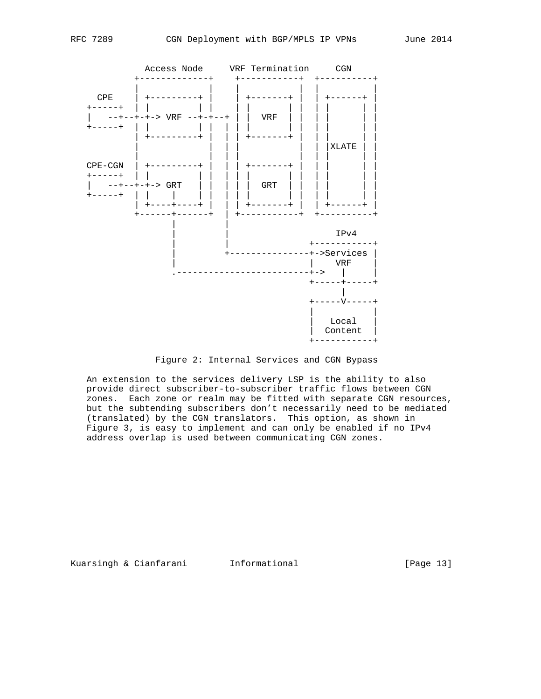

#### Figure 2: Internal Services and CGN Bypass

 An extension to the services delivery LSP is the ability to also provide direct subscriber-to-subscriber traffic flows between CGN zones. Each zone or realm may be fitted with separate CGN resources, but the subtending subscribers don't necessarily need to be mediated (translated) by the CGN translators. This option, as shown in Figure 3, is easy to implement and can only be enabled if no IPv4 address overlap is used between communicating CGN zones.

Kuarsingh & Cianfarani 1nformational 1999 [Page 13]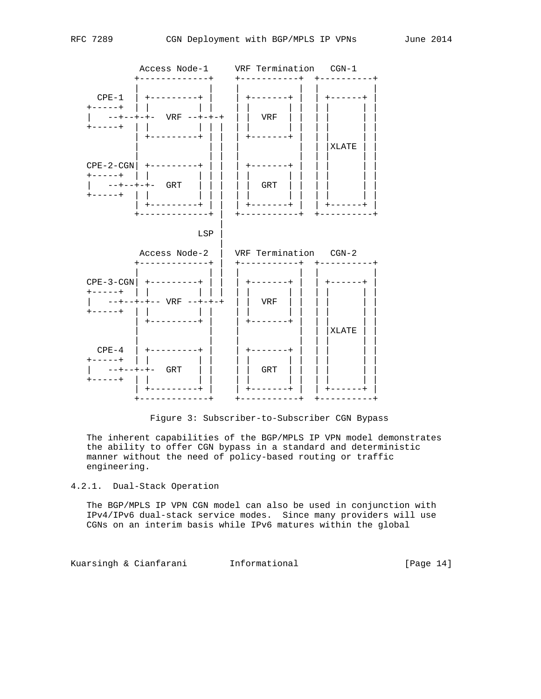

Figure 3: Subscriber-to-Subscriber CGN Bypass

 The inherent capabilities of the BGP/MPLS IP VPN model demonstrates the ability to offer CGN bypass in a standard and deterministic manner without the need of policy-based routing or traffic engineering.

4.2.1. Dual-Stack Operation

 The BGP/MPLS IP VPN CGN model can also be used in conjunction with IPv4/IPv6 dual-stack service modes. Since many providers will use CGNs on an interim basis while IPv6 matures within the global

Kuarsingh & Cianfarani Informational [Page 14]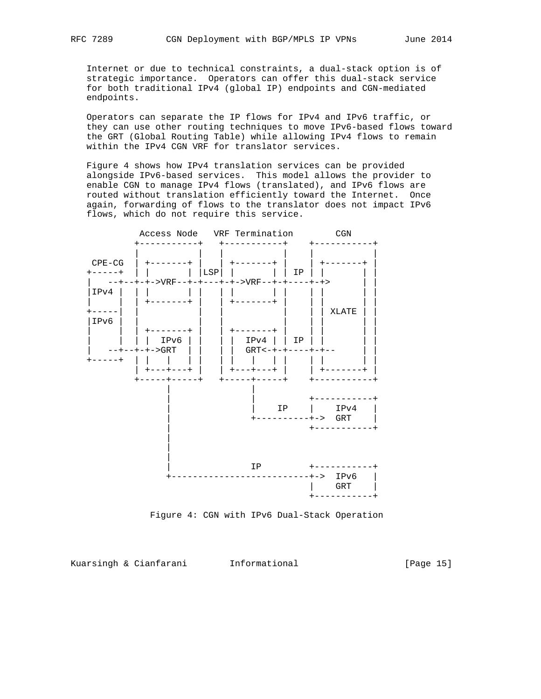Internet or due to technical constraints, a dual-stack option is of strategic importance. Operators can offer this dual-stack service for both traditional IPv4 (global IP) endpoints and CGN-mediated endpoints.

 Operators can separate the IP flows for IPv4 and IPv6 traffic, or they can use other routing techniques to move IPv6-based flows toward the GRT (Global Routing Table) while allowing IPv4 flows to remain within the IPv4 CGN VRF for translator services.

 Figure 4 shows how IPv4 translation services can be provided alongside IPv6-based services. This model allows the provider to enable CGN to manage IPv4 flows (translated), and IPv6 flows are routed without translation efficiently toward the Internet. Once again, forwarding of flows to the translator does not impact IPv6 flows, which do not require this service.



Figure 4: CGN with IPv6 Dual-Stack Operation

Kuarsingh & Cianfarani 1nformational 1999 [Page 15]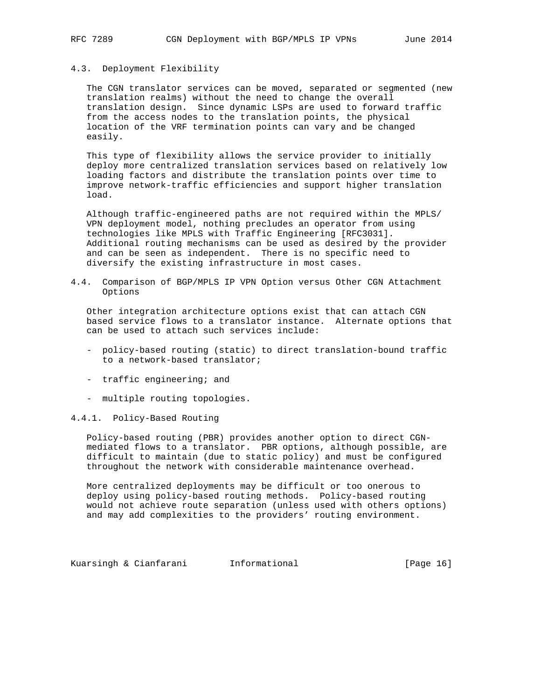#### 4.3. Deployment Flexibility

 The CGN translator services can be moved, separated or segmented (new translation realms) without the need to change the overall translation design. Since dynamic LSPs are used to forward traffic from the access nodes to the translation points, the physical location of the VRF termination points can vary and be changed easily.

 This type of flexibility allows the service provider to initially deploy more centralized translation services based on relatively low loading factors and distribute the translation points over time to improve network-traffic efficiencies and support higher translation load.

 Although traffic-engineered paths are not required within the MPLS/ VPN deployment model, nothing precludes an operator from using technologies like MPLS with Traffic Engineering [RFC3031]. Additional routing mechanisms can be used as desired by the provider and can be seen as independent. There is no specific need to diversify the existing infrastructure in most cases.

4.4. Comparison of BGP/MPLS IP VPN Option versus Other CGN Attachment Options

 Other integration architecture options exist that can attach CGN based service flows to a translator instance. Alternate options that can be used to attach such services include:

- policy-based routing (static) to direct translation-bound traffic to a network-based translator;
- traffic engineering; and
- multiple routing topologies.

#### 4.4.1. Policy-Based Routing

 Policy-based routing (PBR) provides another option to direct CGN mediated flows to a translator. PBR options, although possible, are difficult to maintain (due to static policy) and must be configured throughout the network with considerable maintenance overhead.

 More centralized deployments may be difficult or too onerous to deploy using policy-based routing methods. Policy-based routing would not achieve route separation (unless used with others options) and may add complexities to the providers' routing environment.

Kuarsingh & Cianfarani Informational [Page 16]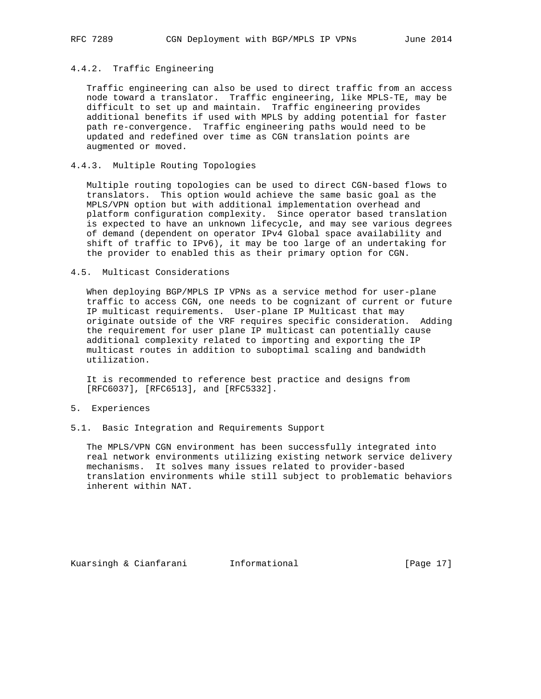# 4.4.2. Traffic Engineering

 Traffic engineering can also be used to direct traffic from an access node toward a translator. Traffic engineering, like MPLS-TE, may be difficult to set up and maintain. Traffic engineering provides additional benefits if used with MPLS by adding potential for faster path re-convergence. Traffic engineering paths would need to be updated and redefined over time as CGN translation points are augmented or moved.

### 4.4.3. Multiple Routing Topologies

 Multiple routing topologies can be used to direct CGN-based flows to translators. This option would achieve the same basic goal as the MPLS/VPN option but with additional implementation overhead and platform configuration complexity. Since operator based translation is expected to have an unknown lifecycle, and may see various degrees of demand (dependent on operator IPv4 Global space availability and shift of traffic to IPv6), it may be too large of an undertaking for the provider to enabled this as their primary option for CGN.

#### 4.5. Multicast Considerations

 When deploying BGP/MPLS IP VPNs as a service method for user-plane traffic to access CGN, one needs to be cognizant of current or future IP multicast requirements. User-plane IP Multicast that may originate outside of the VRF requires specific consideration. Adding the requirement for user plane IP multicast can potentially cause additional complexity related to importing and exporting the IP multicast routes in addition to suboptimal scaling and bandwidth utilization.

 It is recommended to reference best practice and designs from [RFC6037], [RFC6513], and [RFC5332].

#### 5. Experiences

5.1. Basic Integration and Requirements Support

 The MPLS/VPN CGN environment has been successfully integrated into real network environments utilizing existing network service delivery mechanisms. It solves many issues related to provider-based translation environments while still subject to problematic behaviors inherent within NAT.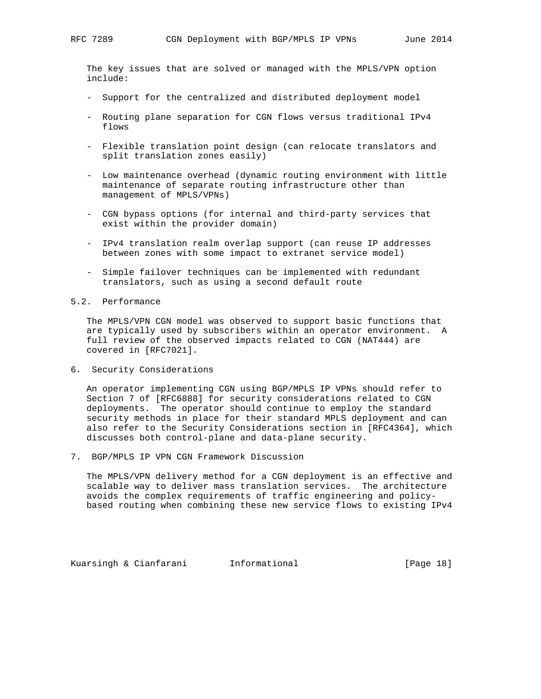The key issues that are solved or managed with the MPLS/VPN option include:

- Support for the centralized and distributed deployment model
- Routing plane separation for CGN flows versus traditional IPv4 flows
- Flexible translation point design (can relocate translators and split translation zones easily)
- Low maintenance overhead (dynamic routing environment with little maintenance of separate routing infrastructure other than management of MPLS/VPNs)
- CGN bypass options (for internal and third-party services that exist within the provider domain)
- IPv4 translation realm overlap support (can reuse IP addresses between zones with some impact to extranet service model)
- Simple failover techniques can be implemented with redundant translators, such as using a second default route
- 5.2. Performance

 The MPLS/VPN CGN model was observed to support basic functions that are typically used by subscribers within an operator environment. A full review of the observed impacts related to CGN (NAT444) are covered in [RFC7021].

6. Security Considerations

 An operator implementing CGN using BGP/MPLS IP VPNs should refer to Section 7 of [RFC6888] for security considerations related to CGN deployments. The operator should continue to employ the standard security methods in place for their standard MPLS deployment and can also refer to the Security Considerations section in [RFC4364], which discusses both control-plane and data-plane security.

7. BGP/MPLS IP VPN CGN Framework Discussion

 The MPLS/VPN delivery method for a CGN deployment is an effective and scalable way to deliver mass translation services. The architecture avoids the complex requirements of traffic engineering and policy based routing when combining these new service flows to existing IPv4

Kuarsingh & Cianfarani Informational [Page 18]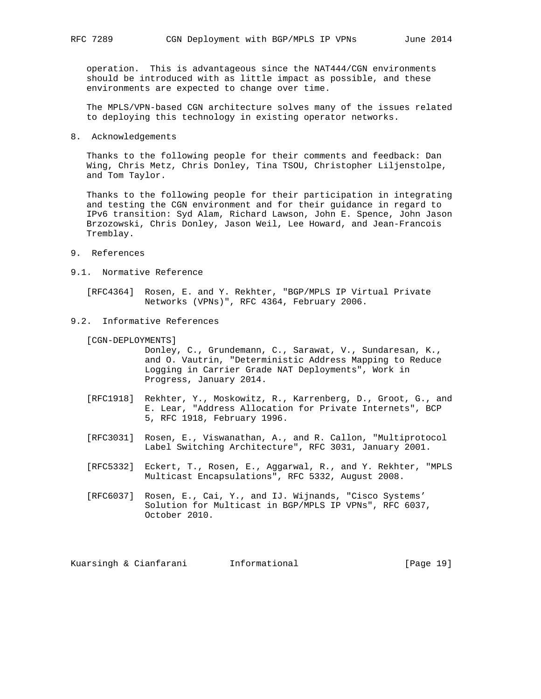operation. This is advantageous since the NAT444/CGN environments should be introduced with as little impact as possible, and these environments are expected to change over time.

 The MPLS/VPN-based CGN architecture solves many of the issues related to deploying this technology in existing operator networks.

8. Acknowledgements

 Thanks to the following people for their comments and feedback: Dan Wing, Chris Metz, Chris Donley, Tina TSOU, Christopher Liljenstolpe, and Tom Taylor.

 Thanks to the following people for their participation in integrating and testing the CGN environment and for their guidance in regard to IPv6 transition: Syd Alam, Richard Lawson, John E. Spence, John Jason Brzozowski, Chris Donley, Jason Weil, Lee Howard, and Jean-Francois Tremblay.

- 9. References
- 9.1. Normative Reference

 [RFC4364] Rosen, E. and Y. Rekhter, "BGP/MPLS IP Virtual Private Networks (VPNs)", RFC 4364, February 2006.

9.2. Informative References

[CGN-DEPLOYMENTS]

 Donley, C., Grundemann, C., Sarawat, V., Sundaresan, K., and O. Vautrin, "Deterministic Address Mapping to Reduce Logging in Carrier Grade NAT Deployments", Work in Progress, January 2014.

- [RFC1918] Rekhter, Y., Moskowitz, R., Karrenberg, D., Groot, G., and E. Lear, "Address Allocation for Private Internets", BCP 5, RFC 1918, February 1996.
- [RFC3031] Rosen, E., Viswanathan, A., and R. Callon, "Multiprotocol Label Switching Architecture", RFC 3031, January 2001.
- [RFC5332] Eckert, T., Rosen, E., Aggarwal, R., and Y. Rekhter, "MPLS Multicast Encapsulations", RFC 5332, August 2008.
- [RFC6037] Rosen, E., Cai, Y., and IJ. Wijnands, "Cisco Systems' Solution for Multicast in BGP/MPLS IP VPNs", RFC 6037, October 2010.

Kuarsingh & Cianfarani Informational [Page 19]